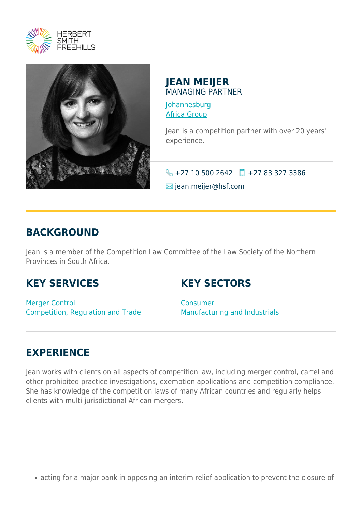



#### **JEAN MEIJER** MANAGING PARTNER

[Johannesburg](https://www.herbertsmithfreehills.com/lang-fr/where-we-work/johannesburg) [Africa Group](https://www.herbertsmithfreehills.com/lang-fr/where-we-work/africa-group)

Jean is a competition partner with over 20 years' experience.

 $\big\{\}$  +27 10 500 2642 +27 83 327 3386

**⊠** jean.meijer@hsf.com

### **BACKGROUND**

Jean is a member of the Competition Law Committee of the Law Society of the Northern Provinces in South Africa.

#### **KEY SERVICES**

#### **KEY SECTORS**

Merger Control Competition, Regulation and Trade Consumer Manufacturing and Industrials

## **EXPERIENCE**

Jean works with clients on all aspects of competition law, including merger control, cartel and other prohibited practice investigations, exemption applications and competition compliance. She has knowledge of the competition laws of many African countries and regularly helps clients with multi-jurisdictional African mergers.

acting for a major bank in opposing an interim relief application to prevent the closure of